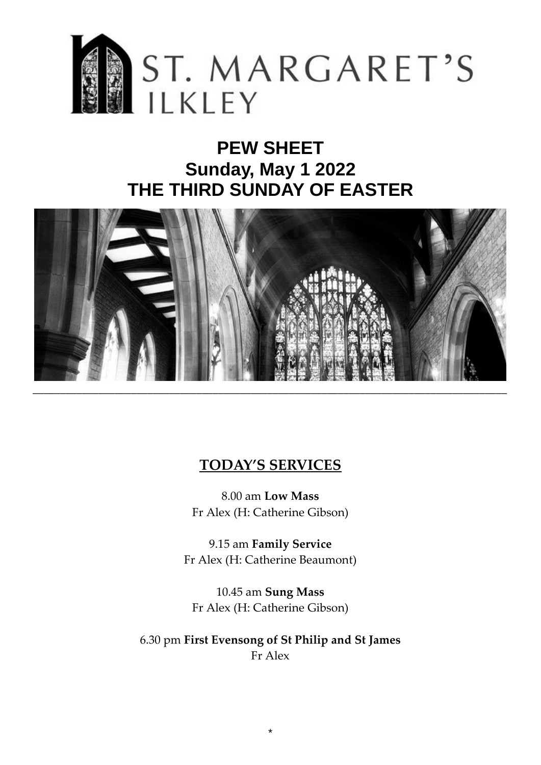

# **PEW SHEET Sunday, May 1 2022 THE THIRD SUNDAY OF EASTER**



### **TODAY'S SERVICES**

8.00 am **Low Mass** Fr Alex (H: Catherine Gibson)

9.15 am **Family Service** Fr Alex (H: Catherine Beaumont)

10.45 am **Sung Mass** Fr Alex (H: Catherine Gibson)

6.30 pm **First Evensong of St Philip and St James** Fr Alex

\*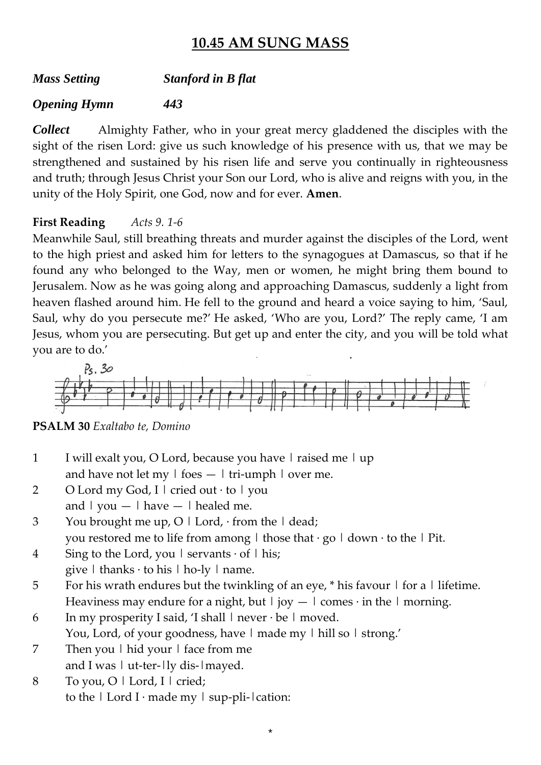### **10.45 AM SUNG MASS**

*Mass Setting Stanford in B flat*

#### *Opening Hymn 443*

*Collect* Almighty Father, who in your great mercy gladdened the disciples with the sight of the risen Lord: give us such knowledge of his presence with us, that we may be strengthened and sustained by his risen life and serve you continually in righteousness and truth; through Jesus Christ your Son our Lord, who is alive and reigns with you, in the unity of the Holy Spirit, one God, now and for ever. **Amen**.

#### **First Reading** *Acts 9. 1-6*

Meanwhile Saul, still breathing threats and murder against the disciples of the Lord, went to the high priest and asked him for letters to the synagogues at Damascus, so that if he found any who belonged to the Way, men or women, he might bring them bound to Jerusalem. Now as he was going along and approaching Damascus, suddenly a light from heaven flashed around him. He fell to the ground and heard a voice saying to him, 'Saul, Saul, why do you persecute me?' He asked, 'Who are you, Lord?' The reply came, 'I am Jesus, whom you are persecuting. But get up and enter the city, and you will be told what you are to do.'



**PSALM 30** *Exaltabo te, Domino*

- 1 I will exalt you, O Lord, because you have  $|$  raised me  $|$  up and have not let my  $\vert$  foes  $\vert$  tri-umph  $\vert$  over me.
- 2 O Lord my God, I | cried out  $\cdot$  to | you and  $|$  you  $|$  have  $|$  healed me.
- 3 You brought me up,  $O \mid$  Lord,  $\cdot$  from the  $\mid$  dead; you restored me to life from among  $\vert$  those that  $\cdot$  go  $\vert$  down  $\cdot$  to the  $\vert$  Pit.
- 4 Sing to the Lord, you  $\vert$  servants  $\cdot$  of  $\vert$  his;
- give  $\vert$  thanks  $\cdot$  to his  $\vert$  ho-ly  $\vert$  name.
- 5 For his wrath endures but the twinkling of an eye,  $*$  his favour  $\vert$  for a  $\vert$  lifetime. Heaviness may endure for a night, but  $|\text{iov} - \text{l} \text{ comes} \cdot \text{in} \text{ the } \text{l} \text{ morning.}$

\*

- 6 In my prosperity I said, 'I shall  $\vert$  never  $\cdot$  be  $\vert$  moved. You, Lord, of your goodness, have I made my I hill so I strong.'
- 7 Then you | hid your | face from me and I was  $|$  ut-ter- $|$ ly dis- $|$ mayed.
- 8 To you, O | Lord, I | cried; to the  $|$  Lord I $\cdot$  made my  $|$  sup-pli- $|$  cation: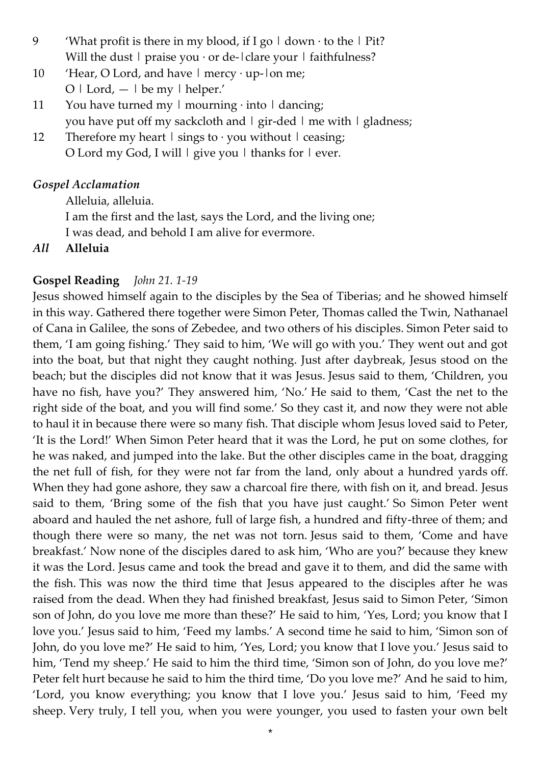- 9 'What profit is there in my blood, if I go  $\mid$  down  $\cdot$  to the  $\mid$  Pit? Will the dust  $\vert$  praise you  $\cdot$  or de- $\vert$  clare your  $\vert$  faithfulness?
- 10 'Hear, O Lord, and have  $\vert$  mercy  $\cdot$  up- $\vert$  on me;  $O \mid$  Lord,  $- \mid$  be my  $\mid$  helper.'
- 11 You have turned my  $\vert$  mourning  $\cdot$  into  $\vert$  dancing; you have put off my sackcloth and  $|$  gir-ded  $|$  me with  $|$  gladness;
- 12 Therefore my heart  $\vert$  sings to  $\cdot$  you without  $\vert$  ceasing; O Lord my God, I will  $|$  give you  $|$  thanks for  $|$  ever.

#### *Gospel Acclamation*

Alleluia, alleluia.

I am the first and the last, says the Lord, and the living one;

I was dead, and behold I am alive for evermore.

*All* **Alleluia**

#### **Gospel Reading** *John 21. 1-19*

Jesus showed himself again to the disciples by the Sea of Tiberias; and he showed himself in this way. Gathered there together were Simon Peter, Thomas called the Twin, Nathanael of Cana in Galilee, the sons of Zebedee, and two others of his disciples. Simon Peter said to them, 'I am going fishing.' They said to him, 'We will go with you.' They went out and got into the boat, but that night they caught nothing. Just after daybreak, Jesus stood on the beach; but the disciples did not know that it was Jesus. Jesus said to them, 'Children, you have no fish, have you?' They answered him, 'No.' He said to them, 'Cast the net to the right side of the boat, and you will find some.' So they cast it, and now they were not able to haul it in because there were so many fish. That disciple whom Jesus loved said to Peter, 'It is the Lord!' When Simon Peter heard that it was the Lord, he put on some clothes, for he was naked, and jumped into the lake. But the other disciples came in the boat, dragging the net full of fish, for they were not far from the land, only about a hundred yards off. When they had gone ashore, they saw a charcoal fire there, with fish on it, and bread. Jesus said to them, 'Bring some of the fish that you have just caught.' So Simon Peter went aboard and hauled the net ashore, full of large fish, a hundred and fifty-three of them; and though there were so many, the net was not torn. Jesus said to them, 'Come and have breakfast.' Now none of the disciples dared to ask him, 'Who are you?' because they knew it was the Lord. Jesus came and took the bread and gave it to them, and did the same with the fish. This was now the third time that Jesus appeared to the disciples after he was raised from the dead. When they had finished breakfast, Jesus said to Simon Peter, 'Simon son of John, do you love me more than these?' He said to him, 'Yes, Lord; you know that I love you.' Jesus said to him, 'Feed my lambs.' A second time he said to him, 'Simon son of John, do you love me?' He said to him, 'Yes, Lord; you know that I love you.' Jesus said to him, 'Tend my sheep.' He said to him the third time, 'Simon son of John, do you love me?' Peter felt hurt because he said to him the third time, 'Do you love me?' And he said to him, 'Lord, you know everything; you know that I love you.' Jesus said to him, 'Feed my sheep. Very truly, I tell you, when you were younger, you used to fasten your own belt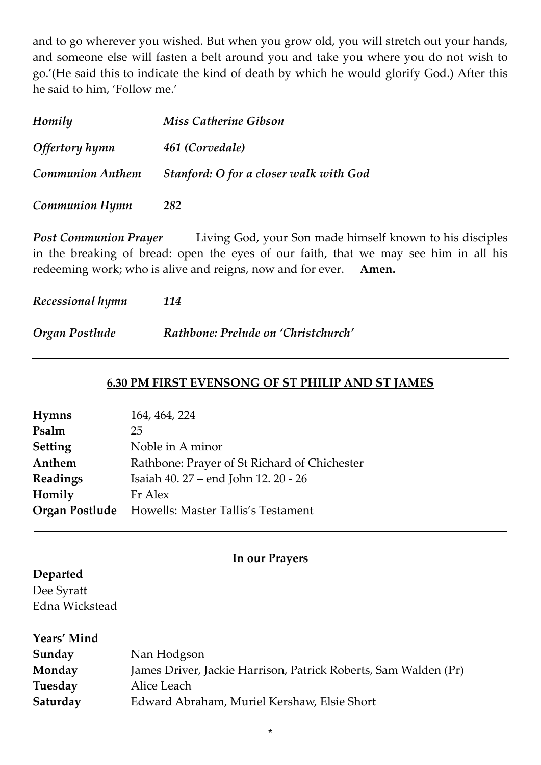and to go wherever you wished. But when you grow old, you will stretch out your hands, and someone else will fasten a belt around you and take you where you do not wish to go.'(He said this to indicate the kind of death by which he would glorify God.) After this he said to him, 'Follow me.'

| Homily                  | <b>Miss Catherine Gibson</b>           |  |
|-------------------------|----------------------------------------|--|
| Offertory hymn          | 461 (Corvedale)                        |  |
| <b>Communion Anthem</b> | Stanford: O for a closer walk with God |  |
| <b>Communion Hymn</b>   | 282                                    |  |

*Post Communion Prayer* Living God, your Son made himself known to his disciples in the breaking of bread: open the eyes of our faith, that we may see him in all his redeeming work; who is alive and reigns, now and for ever. **Amen.**

*Recessional hymn 114*

*Organ Postlude Rathbone: Prelude on 'Christchurch'*

#### **6.30 PM FIRST EVENSONG OF ST PHILIP AND ST JAMES**

| <b>Hymns</b>   | 164, 464, 224                                            |
|----------------|----------------------------------------------------------|
| Psalm          | 25                                                       |
| <b>Setting</b> | Noble in A minor                                         |
| Anthem         | Rathbone: Prayer of St Richard of Chichester             |
| Readings       | Isaiah 40. 27 – end John 12. 20 - 26                     |
| Homily         | Fr Alex                                                  |
|                | <b>Organ Postlude</b> Howells: Master Tallis's Testament |

### **In our Prayers**

**\_\_\_\_\_\_\_\_\_\_\_\_\_\_\_\_\_\_\_\_\_\_\_\_\_\_\_\_\_\_\_\_\_\_\_\_\_\_\_\_\_\_\_\_\_\_\_\_\_\_\_\_\_\_\_\_\_\_\_\_\_\_\_\_\_\_\_\_\_\_\_\_\_\_\_\_\_\_\_\_**

#### **Departed**

Dee Syratt Edna Wickstead

| Years' Mind |                                                                 |
|-------------|-----------------------------------------------------------------|
| Sunday      | Nan Hodgson                                                     |
| Monday      | James Driver, Jackie Harrison, Patrick Roberts, Sam Walden (Pr) |
| Tuesday     | Alice Leach                                                     |
| Saturday    | Edward Abraham, Muriel Kershaw, Elsie Short                     |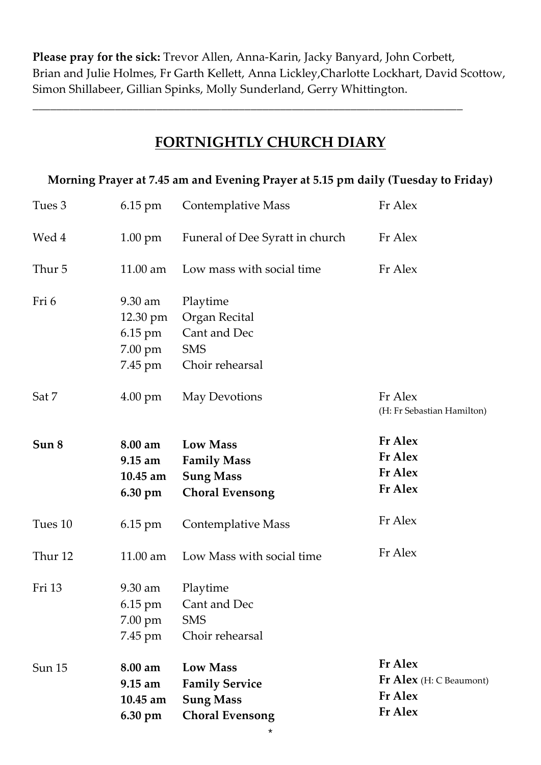**Please pray for the sick:** Trevor Allen, Anna-Karin, Jacky Banyard, John Corbett, Brian and Julie Holmes, Fr Garth Kellett, Anna Lickley,Charlotte Lockhart, David Scottow, Simon Shillabeer, Gillian Spinks, Molly Sunderland, Gerry Whittington.

*\_\_\_\_\_\_\_\_\_\_\_\_\_\_\_\_\_\_\_\_\_\_\_\_\_\_\_\_\_\_\_\_\_\_\_\_\_\_\_\_\_\_\_\_\_\_\_\_\_\_\_\_\_\_\_\_\_\_\_\_\_\_\_\_\_\_\_\_\_\_\_\_\_*

## **FORTNIGHTLY CHURCH DIARY**

#### **Morning Prayer at 7.45 am and Evening Prayer at 5.15 pm daily (Tuesday to Friday)**

| Tues 3        | $6.15$ pm                                               | Fr Alex<br><b>Contemplative Mass</b>                                                   |                                                                               |
|---------------|---------------------------------------------------------|----------------------------------------------------------------------------------------|-------------------------------------------------------------------------------|
| Wed 4         | $1.00 \text{ pm}$                                       | Funeral of Dee Syratt in church                                                        | Fr Alex                                                                       |
| Thur 5        | $11.00$ am                                              | Low mass with social time<br>Fr Alex                                                   |                                                                               |
| Fri 6         | 9.30 am<br>12.30 pm<br>6.15 pm<br>7.00 pm<br>7.45 pm    | Playtime<br>Organ Recital<br>Cant and Dec<br><b>SMS</b><br>Choir rehearsal             |                                                                               |
| Sat 7         | $4.00 \text{ pm}$                                       | May Devotions                                                                          | Fr Alex<br>(H: Fr Sebastian Hamilton)                                         |
| Sun 8         | 8.00 am<br>$9.15$ am<br>$10.45$ am<br>$6.30 \text{ pm}$ | <b>Low Mass</b><br><b>Family Mass</b><br><b>Sung Mass</b><br><b>Choral Evensong</b>    | <b>Fr</b> Alex<br><b>Fr</b> Alex<br><b>Fr Alex</b><br>Fr Alex                 |
| Tues 10       | $6.15 \text{ pm}$                                       | <b>Contemplative Mass</b>                                                              | Fr Alex                                                                       |
| Thur 12       | 11.00 am                                                | Low Mass with social time                                                              | Fr Alex                                                                       |
| Fri 13        | 9.30 am<br>6.15 pm<br>$7.00 \text{ pm}$<br>7.45 pm      | Playtime<br>Cant and Dec<br><b>SMS</b><br>Choir rehearsal                              |                                                                               |
| <b>Sun 15</b> | 8.00 am<br>9.15 am<br>10.45 am<br>6.30 pm               | <b>Low Mass</b><br><b>Family Service</b><br><b>Sung Mass</b><br><b>Choral Evensong</b> | <b>Fr</b> Alex<br>Fr Alex (H: C Beaumont)<br><b>Fr</b> Alex<br><b>Fr Alex</b> |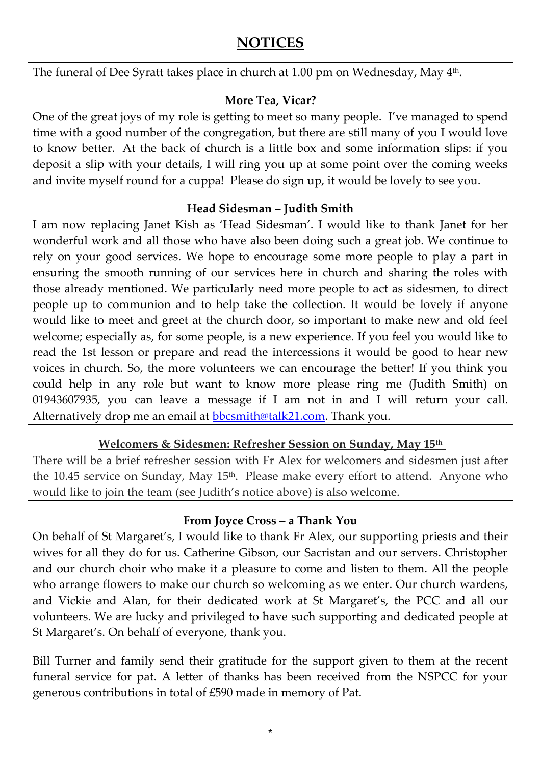### **NOTICES**

The funeral of Dee Syratt takes place in church at 1.00 pm on Wednesday, May 4<sup>th</sup>.

#### **More Tea, Vicar?**

One of the great joys of my role is getting to meet so many people. I've managed to spend time with a good number of the congregation, but there are still many of you I would love to know better. At the back of church is a little box and some information slips: if you deposit a slip with your details, I will ring you up at some point over the coming weeks and invite myself round for a cuppa! Please do sign up, it would be lovely to see you.

#### **Head Sidesman – Judith Smith**

I am now replacing Janet Kish as 'Head Sidesman'. I would like to thank Janet for her wonderful work and all those who have also been doing such a great job. We continue to rely on your good services. We hope to encourage some more people to play a part in ensuring the smooth running of our services here in church and sharing the roles with those already mentioned. We particularly need more people to act as sidesmen, to direct people up to communion and to help take the collection. It would be lovely if anyone would like to meet and greet at the church door, so important to make new and old feel welcome; especially as, for some people, is a new experience. If you feel you would like to read the 1st lesson or prepare and read the intercessions it would be good to hear new voices in church. So, the more volunteers we can encourage the better! If you think you could help in any role but want to know more please ring me (Judith Smith) on 01943607935, you can leave a message if I am not in and I will return your call. Alternatively drop me an email at **bbcsmith@talk21.com**. Thank you.

#### **Welcomers & Sidesmen: Refresher Session on Sunday, May 15th**

There will be a brief refresher session with Fr Alex for welcomers and sidesmen just after the 10.45 service on Sunday, May 15<sup>th</sup>. Please make every effort to attend. Anyone who would like to join the team (see Judith's notice above) is also welcome.

#### **From Joyce Cross – a Thank You**

On behalf of St Margaret's, I would like to thank Fr Alex, our supporting priests and their wives for all they do for us. Catherine Gibson, our Sacristan and our servers. Christopher and our church choir who make it a pleasure to come and listen to them. All the people who arrange flowers to make our church so welcoming as we enter. Our church wardens, and Vickie and Alan, for their dedicated work at St Margaret's, the PCC and all our volunteers. We are lucky and privileged to have such supporting and dedicated people at St Margaret's. On behalf of everyone, thank you.

Bill Turner and family send their gratitude for the support given to them at the recent funeral service for pat. A letter of thanks has been received from the NSPCC for your generous contributions in total of £590 made in memory of Pat.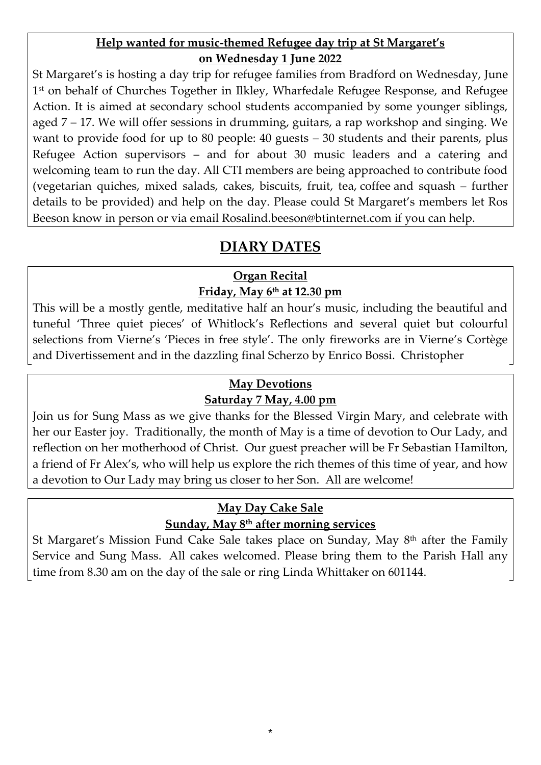#### **Help wanted for music-themed Refugee day trip at St Margaret's on Wednesday 1 June 2022**

St Margaret's is hosting a day trip for refugee families from Bradford on Wednesday, June 1 st on behalf of Churches Together in Ilkley, Wharfedale Refugee Response, and Refugee Action. It is aimed at secondary school students accompanied by some younger siblings, aged 7 – 17. We will offer sessions in drumming, guitars, a rap workshop and singing. We want to provide food for up to 80 people: 40 guests – 30 students and their parents, plus Refugee Action supervisors – and for about 30 music leaders and a catering and welcoming team to run the day. All CTI members are being approached to contribute food (vegetarian quiches, mixed salads, cakes, biscuits, fruit, tea, coffee and squash – further details to be provided) and help on the day. Please could St Margaret's members let Ros Beeson know in person or via email [Rosalind.beeson@btinternet.com](mailto:Rosalind.beeson@btinternet.com) if you can help.

### **DIARY DATES**

#### **Organ Recital Friday, May 6th at 12.30 pm**

This will be a mostly gentle, meditative half an hour's music, including the beautiful and tuneful 'Three quiet pieces' of Whitlock's Reflections and several quiet but colourful selections from Vierne's 'Pieces in free style'. The only fireworks are in Vierne's Cortège and Divertissement and in the dazzling final Scherzo by Enrico Bossi. Christopher

### **May Devotions**

#### **Saturday 7 May, 4.00 pm**

Join us for Sung Mass as we give thanks for the Blessed Virgin Mary, and celebrate with her our Easter joy. Traditionally, the month of May is a time of devotion to Our Lady, and reflection on her motherhood of Christ. Our guest preacher will be Fr Sebastian Hamilton, a friend of Fr Alex's, who will help us explore the rich themes of this time of year, and how a devotion to Our Lady may bring us closer to her Son. All are welcome!

### **May Day Cake Sale**

### **Sunday, May 8th after morning services**

St Margaret's Mission Fund Cake Sale takes place on Sunday, May 8th after the Family Service and Sung Mass. All cakes welcomed. Please bring them to the Parish Hall any time from 8.30 am on the day of the sale or ring Linda Whittaker on 601144.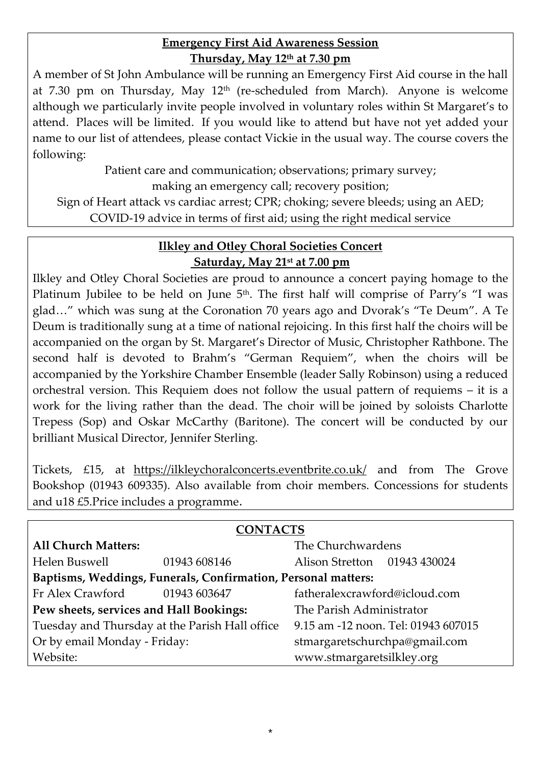#### **Emergency First Aid Awareness Session Thursday, May 12th at 7.30 pm**

A member of St John Ambulance will be running an Emergency First Aid course in the hall at 7.30 pm on Thursday, May  $12<sup>th</sup>$  (re-scheduled from March). Anyone is welcome although we particularly invite people involved in voluntary roles within St Margaret's to attend. Places will be limited. If you would like to attend but have not yet added your name to our list of attendees, please contact Vickie in the usual way. The course covers the following:

Patient care and communication; observations; primary survey;

making an emergency call; recovery position;

Sign of Heart attack vs cardiac arrest; CPR; choking; severe bleeds; using an AED; COVID-19 advice in terms of first aid; using the right medical service

#### **Ilkley and Otley Choral Societies Concert Saturday, May 21st at 7.00 pm**

Ilkley and Otley Choral Societies are proud to announce a concert paying homage to the Platinum Jubilee to be held on June  $5<sup>th</sup>$ . The first half will comprise of Parry's "I was glad…" which was sung at the Coronation 70 years ago and Dvorak's "Te Deum". A Te Deum is traditionally sung at a time of national rejoicing. In this first half the choirs will be accompanied on the organ by St. Margaret's Director of Music, Christopher Rathbone. The second half is devoted to Brahm's "German Requiem", when the choirs will be accompanied by the Yorkshire Chamber Ensemble (leader Sally Robinson) using a reduced orchestral version. This Requiem does not follow the usual pattern of requiems – it is a work for the living rather than the dead. The choir will be joined by soloists Charlotte Trepess (Sop) and Oskar McCarthy (Baritone). The concert will be conducted by our brilliant Musical Director, Jennifer Sterling.

Tickets, £15, at [https://ilkleychoralconcerts.eventbrite.co.uk/](https://www.stmargaretsilkley.org/news/2022/january/blank) and from The Grove Bookshop (01943 609335). Also available from choir members. Concessions for students and u18 £5.Price includes a programme.

| <b>CONTACTS</b>                                               |              |                                     |  |  |  |  |
|---------------------------------------------------------------|--------------|-------------------------------------|--|--|--|--|
| <b>All Church Matters:</b>                                    |              | The Churchwardens                   |  |  |  |  |
| Helen Buswell                                                 |              | Alison Stretton 01943 430024        |  |  |  |  |
|                                                               | 01943 608146 |                                     |  |  |  |  |
| Baptisms, Weddings, Funerals, Confirmation, Personal matters: |              |                                     |  |  |  |  |
| Fr Alex Crawford                                              | 01943 603647 | fatheralexcrawford@icloud.com       |  |  |  |  |
| Pew sheets, services and Hall Bookings:                       |              | The Parish Administrator            |  |  |  |  |
| Tuesday and Thursday at the Parish Hall office                |              | 9.15 am -12 noon. Tel: 01943 607015 |  |  |  |  |
| Or by email Monday - Friday:                                  |              | stmargaretschurchpa@gmail.com       |  |  |  |  |
| Website:                                                      |              | www.stmargaretsilkley.org           |  |  |  |  |

\*